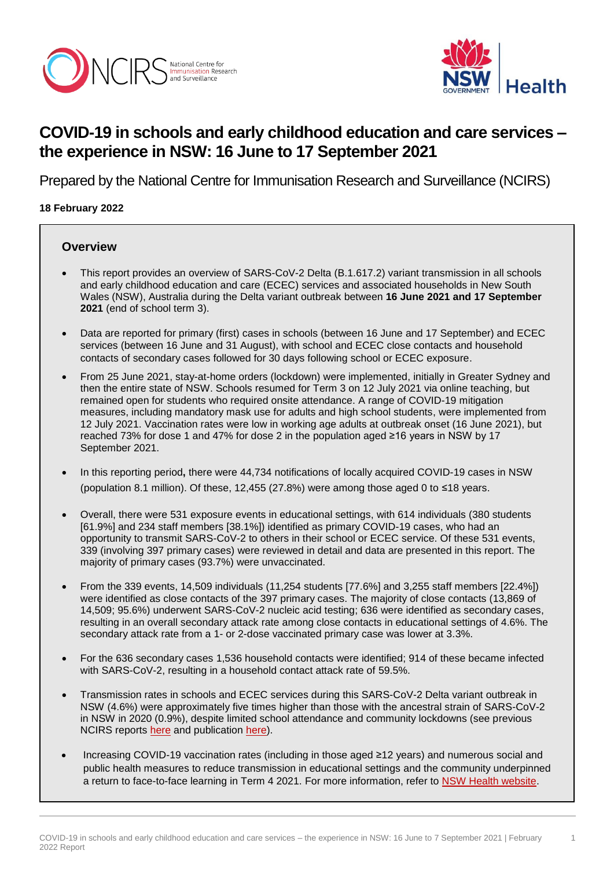



1

# **COVID-19 in schools and early childhood education and care services – the experience in NSW: 16 June to 17 September 2021**

Prepared by the National Centre for Immunisation Research and Surveillance (NCIRS)

#### **18 February 2022**

#### **Overview**

- This report provides an overview of SARS-CoV-2 Delta (B.1.617.2) variant transmission in all schools and early childhood education and care (ECEC) services and associated households in New South Wales (NSW), Australia during the Delta variant outbreak between **16 June 2021 and 17 September 2021** (end of school term 3).
- Data are reported for primary (first) cases in schools (between 16 June and 17 September) and ECEC services (between 16 June and 31 August), with school and ECEC close contacts and household contacts of secondary cases followed for 30 days following school or ECEC exposure.
- From 25 June 2021, stay-at-home orders (lockdown) were implemented, initially in Greater Sydney and then the entire state of NSW. Schools resumed for Term 3 on 12 July 2021 via online teaching, but remained open for students who required onsite attendance. A range of COVID-19 mitigation measures, including mandatory mask use for adults and high school students, were implemented from 12 July 2021. Vaccination rates were low in working age adults at outbreak onset (16 June 2021), but reached 73% for dose 1 and 47% for dose 2 in the population aged ≥16 years in NSW by 17 September 2021.
- In this reporting period**,** there were 44,734 notifications of locally acquired COVID-19 cases in NSW (population 8.1 million). Of these, 12,455 (27.8%) were among those aged 0 to ≤18 years.
- Overall, there were 531 exposure events in educational settings, with 614 individuals (380 students [61.9%] and 234 staff members [38.1%]) identified as primary COVID-19 cases, who had an opportunity to transmit SARS-CoV-2 to others in their school or ECEC service. Of these 531 events, 339 (involving 397 primary cases) were reviewed in detail and data are presented in this report. The majority of primary cases (93.7%) were unvaccinated.
- From the 339 events, 14,509 individuals (11,254 students [77.6%] and 3,255 staff members [22.4%]) were identified as close contacts of the 397 primary cases. The majority of close contacts (13,869 of 14,509; 95.6%) underwent SARS-CoV-2 nucleic acid testing; 636 were identified as secondary cases, resulting in an overall secondary attack rate among close contacts in educational settings of 4.6%. The secondary attack rate from a 1- or 2-dose vaccinated primary case was lower at 3.3%.
- For the 636 secondary cases 1,536 household contacts were identified; 914 of these became infected with SARS-CoV-2, resulting in a household contact attack rate of 59.5%.
- Transmission rates in schools and ECEC services during this SARS-CoV-2 Delta variant outbreak in NSW (4.6%) were approximately five times higher than those with the ancestral strain of SARS-CoV-2 in NSW in 2020 (0.9%), despite limited school attendance and community lockdowns (see previous NCIRS reports [here](http://ncirs.org.au/covid-19-in-schools) and publication [here\)](http://www.thelancet.com/journals/lanchi/article/PIIS2352-4642(20)30251-0/fulltext).
- Increasing COVID-19 vaccination rates (including in those aged ≥12 years) and numerous social and public health measures to reduce transmission in educational settings and the community underpinned a return to face-to-face learning in Term 4 2021. For more information, refer to [NSW Health website.](https://www.health.nsw.gov.au/Infectious/covid-19/Pages/default.aspx)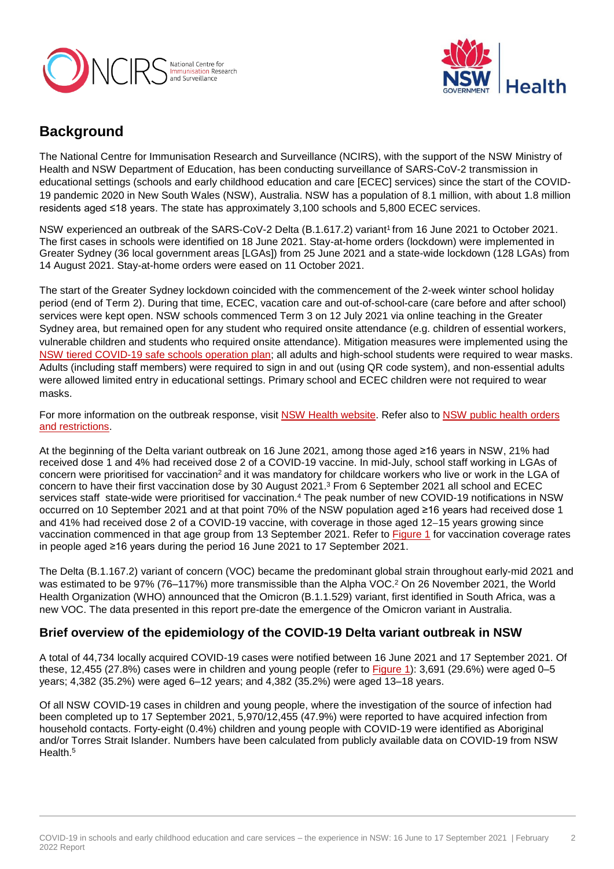



# **Background**

The National Centre for Immunisation Research and Surveillance (NCIRS), with the support of the NSW Ministry of Health and NSW Department of Education, has been conducting surveillance of SARS-CoV-2 transmission in educational settings (schools and early childhood education and care [ECEC] services) since the start of the COVID-19 pandemic 2020 in New South Wales (NSW), Australia. NSW has a population of 8.1 million, with about 1.8 million residents aged ≤18 years. The state has approximately 3,100 schools and 5,800 ECEC services.

NSW experienced an outbreak of the SARS-CoV-2 Delta (B.1.617.2) variant<sup>1</sup> from 16 June 2021 to October 2021. The first cases in schools were identified on 18 June 2021. Stay-at-home orders (lockdown) were implemented in Greater Sydney (36 local government areas [LGAs]) from 25 June 2021 and a state-wide lockdown (128 LGAs) from 14 August 2021. Stay-at-home orders were eased on 11 October 2021.

The start of the Greater Sydney lockdown coincided with the commencement of the 2-week winter school holiday period (end of Term 2). During that time, ECEC, vacation care and out-of-school-care (care before and after school) services were kept open. NSW schools commenced Term 3 on 12 July 2021 via online teaching in the Greater Sydney area, but remained open for any student who required onsite attendance (e.g. children of essential workers, vulnerable children and students who required onsite attendance). Mitigation measures were implemented using the [NSW tiered COVID-19 safe schools operation plan;](https://education.nsw.gov.au/covid-19/advice-for-families) all adults and high-school students were required to wear masks. Adults (including staff members) were required to sign in and out (using QR code system), and non-essential adults were allowed limited entry in educational settings. Primary school and ECEC children were not required to wear masks.

For more information on the outbreak response, visit [NSW Health website.](https://www.health.nsw.gov.au/Infectious/covid-19/Pages/default.aspx) Refer also to [NSW public health orders](https://www.health.nsw.gov.au/Infectious/covid-19/Pages/public-health-orders.aspx)  [and restrictions.](https://www.health.nsw.gov.au/Infectious/covid-19/Pages/public-health-orders.aspx)

At the beginning of the Delta variant outbreak on 16 June 2021, among those aged ≥16 years in NSW, 21% had received dose 1 and 4% had received dose 2 of a COVID-19 vaccine. In mid-July, school staff working in LGAs of concern were prioritised for vaccination<sup>2</sup> and it was mandatory for childcare workers who live or work in the LGA of concern to have their first vaccination dose by 30 August 2021. <sup>3</sup> From 6 September 2021 all school and ECEC services staff state-wide were prioritised for vaccination.<sup>4</sup> The peak number of new COVID-19 notifications in NSW occurred on 10 September 2021 and at that point 70% of the NSW population aged ≥16 years had received dose 1 and 41% had received dose 2 of a COVID-19 vaccine, with coverage in those aged 12-15 years growing since vaccination commenced in that age group from 13 September 2021. Refer to **Figure 1** for vaccination coverage rates in people aged ≥16 years during the period 16 June 2021 to 17 September 2021.

The Delta (B.1.167.2) variant of concern (VOC) became the predominant global strain throughout early-mid 2021 and was estimated to be 97% (76–117%) more transmissible than the Alpha VOC.<sup>2</sup> On 26 November 2021, the World Health Organization (WHO) announced that the Omicron (B.1.1.529) variant, first identified in South Africa, was a new VOC. The data presented in this report pre-date the emergence of the Omicron variant in Australia.

## **Brief overview of the epidemiology of the COVID-19 Delta variant outbreak in NSW**

A total of 44,734 locally acquired COVID-19 cases were notified between 16 June 2021 and 17 September 2021. Of these, 12,455 (27.8%) cases were in children and young people (refer to [Figure 1\)](#page-1-0): 3,691 (29.6%) were aged 0–5 years; 4,382 (35.2%) were aged 6–12 years; and 4,382 (35.2%) were aged 13–18 years.

<span id="page-1-0"></span>Of all NSW COVID-19 cases in children and young people, where the investigation of the source of infection had been completed up to 17 September 2021, 5,970/12,455 (47.9%) were reported to have acquired infection from household contacts. Forty-eight (0.4%) children and young people with COVID-19 were identified as Aboriginal and/or Torres Strait Islander. Numbers have been calculated from publicly available data on COVID-19 from NSW Health.<sup>5</sup>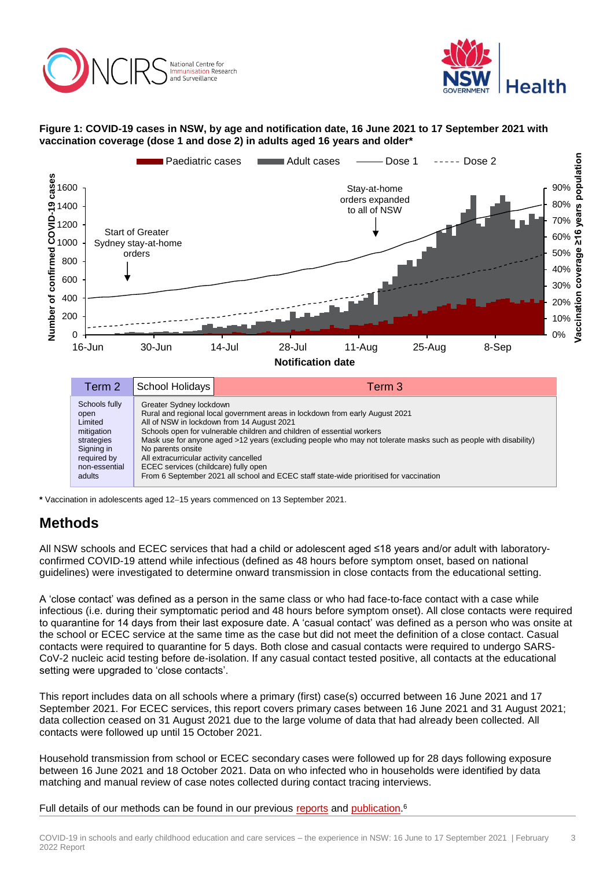



#### **Figure 1: COVID-19 cases in NSW, by age and notification date, 16 June 2021 to 17 September 2021 with vaccination coverage (dose 1 and dose 2) in adults aged 16 years and older\***



strategies Signing in required by non-essential Mask use for anyone aged >12 years (excluding people who may not tolerate masks such as people with disability) No parents onsite All extracurricular activity cancelled ECEC services (childcare) fully open

adults From 6 September 2021 all school and ECEC staff state-wide prioritised for vaccination

**\*** Vaccination in adolescents aged 1215 years commenced on 13 September 2021.

# **Methods**

All NSW schools and ECEC services that had a child or adolescent aged ≤18 years and/or adult with laboratoryconfirmed COVID-19 attend while infectious (defined as 48 hours before symptom onset, based on national guidelines) were investigated to determine onward transmission in close contacts from the educational setting.

A 'close contact' was defined as a person in the same class or who had face-to-face contact with a case while infectious (i.e. during their symptomatic period and 48 hours before symptom onset). All close contacts were required to quarantine for 14 days from their last exposure date. A 'casual contact' was defined as a person who was onsite at the school or ECEC service at the same time as the case but did not meet the definition of a close contact. Casual contacts were required to quarantine for 5 days. Both close and casual contacts were required to undergo SARS-CoV-2 nucleic acid testing before de-isolation. If any casual contact tested positive, all contacts at the educational setting were upgraded to 'close contacts'.

This report includes data on all schools where a primary (first) case(s) occurred between 16 June 2021 and 17 September 2021. For ECEC services, this report covers primary cases between 16 June 2021 and 31 August 2021; data collection ceased on 31 August 2021 due to the large volume of data that had already been collected. All contacts were followed up until 15 October 2021.

Household transmission from school or ECEC secondary cases were followed up for 28 days following exposure between 16 June 2021 and 18 October 2021. Data on who infected who in households were identified by data matching and manual review of case notes collected during contact tracing interviews.

Full details of our methods can be found in our previous [reports](http://ncirs.org.au/covid-19-in-schools) and [publication.](http://www.thelancet.com/journals/lanchi/article/PIIS2352-4642(20)30251-0/fulltext)<sup>6</sup>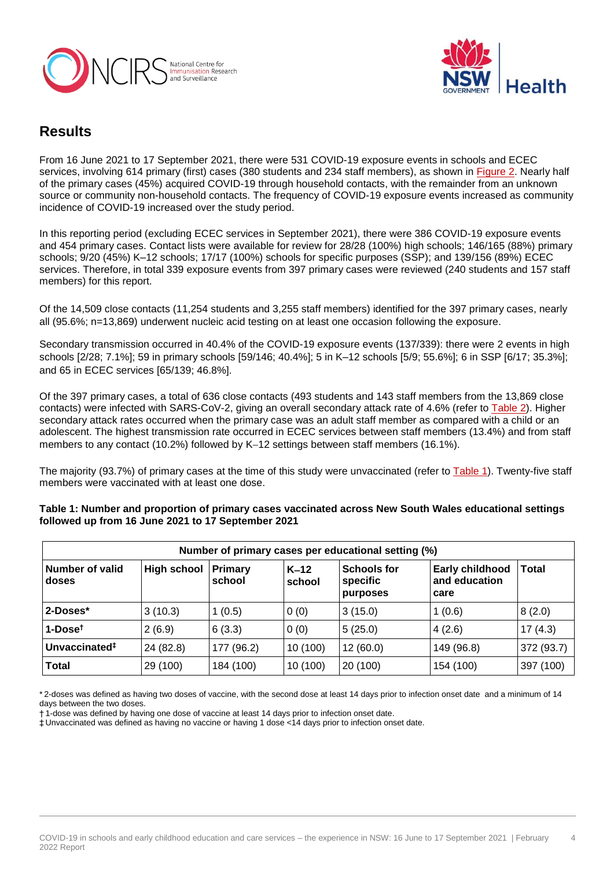



## **Results**

From 16 June 2021 to 17 September 2021, there were 531 COVID-19 exposure events in schools and ECEC services, involving 614 primary (first) cases (380 students and 234 staff members), as shown in [Figure 2.](#page-3-0) Nearly half of the primary cases (45%) acquired COVID-19 through household contacts, with the remainder from an unknown source or community non-household contacts. The frequency of COVID-19 exposure events increased as community incidence of COVID-19 increased over the study period.

In this reporting period (excluding ECEC services in September 2021), there were 386 COVID-19 exposure events and 454 primary cases. Contact lists were available for review for 28/28 (100%) high schools; 146/165 (88%) primary schools; 9/20 (45%) K–12 schools; 17/17 (100%) schools for specific purposes (SSP); and 139/156 (89%) ECEC services. Therefore, in total 339 exposure events from 397 primary cases were reviewed (240 students and 157 staff members) for this report.

Of the 14,509 close contacts (11,254 students and 3,255 staff members) identified for the 397 primary cases, nearly all (95.6%; n=13,869) underwent nucleic acid testing on at least one occasion following the exposure.

Secondary transmission occurred in 40.4% of the COVID-19 exposure events (137/339): there were 2 events in high schools [2/28; 7.1%]; 59 in primary schools [59/146; 40.4%]; 5 in K–12 schools [5/9; 55.6%]; 6 in SSP [6/17; 35.3%]; and 65 in ECEC services [65/139; 46.8%].

Of the 397 primary cases, a total of 636 close contacts (493 students and 143 staff members from the 13,869 close contacts) were infected with SARS-CoV-2, giving an overall secondary attack rate of 4.6% (refer to [Table](#page-8-0) 2). Higher secondary attack rates occurred when the primary case was an adult staff member as compared with a child or an adolescent. The highest transmission rate occurred in ECEC services between staff members (13.4%) and from staff members to any contact (10.2%) followed by K-12 settings between staff members (16.1%).

The majority (93.7%) of primary cases at the time of this study were unvaccinated (refer to [Table 1\)](#page-3-1). Twenty-five staff members were vaccinated with at least one dose.

| Number of primary cases per educational setting (%) |                    |                          |                  |                                            |                                                 |            |
|-----------------------------------------------------|--------------------|--------------------------|------------------|--------------------------------------------|-------------------------------------------------|------------|
| Number of valid<br>doses                            | <b>High school</b> | <b>Primary</b><br>school | $K-12$<br>school | <b>Schools for</b><br>specific<br>purposes | <b>Early childhood</b><br>and education<br>care | Total      |
| 2-Doses*                                            | 3(10.3)            | 1(0.5)                   | 0(0)             | 3(15.0)                                    | 1(0.6)                                          | 8(2.0)     |
| $1-Dose†$                                           | 2(6.9)             | 6(3.3)                   | 0(0)             | 5(25.0)                                    | 4(2.6)                                          | 17(4.3)    |
| Unvaccinated <sup>#</sup>                           | 24 (82.8)          | 177 (96.2)               | 10(100)          | 12(60.0)                                   | 149 (96.8)                                      | 372 (93.7) |
| <b>Total</b>                                        | 29 (100)           | 184 (100)                | 10(100)          | 20 (100)                                   | 154 (100)                                       | 397 (100)  |

<span id="page-3-1"></span>**Table 1: Number and proportion of primary cases vaccinated across New South Wales educational settings followed up from 16 June 2021 to 17 September 2021**

\* 2-doses was defined as having two doses of vaccine, with the second dose at least 14 days prior to infection onset date and a minimum of 14 days between the two doses.

† 1-dose was defined by having one dose of vaccine at least 14 days prior to infection onset date.

<span id="page-3-0"></span>‡ Unvaccinated was defined as having no vaccine or having 1 dose <14 days prior to infection onset date.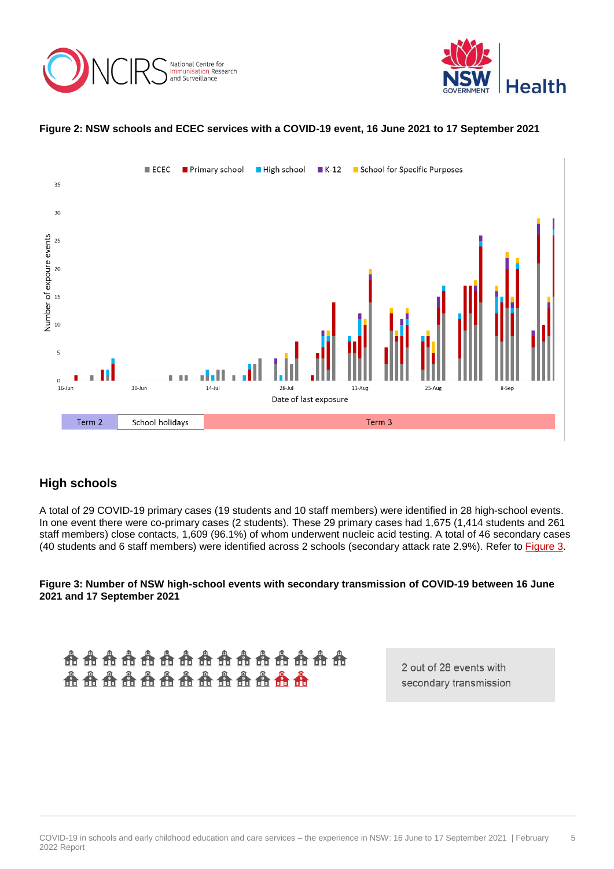



#### **Figure 2: NSW schools and ECEC services with a COVID-19 event, 16 June 2021 to 17 September 2021**



## **High schools**

A total of 29 COVID-19 primary cases (19 students and 10 staff members) were identified in 28 high-school events. In one event there were co-primary cases (2 students). These 29 primary cases had 1,675 (1,414 students and 261 staff members) close contacts, 1,609 (96.1%) of whom underwent nucleic acid testing. A total of 46 secondary cases (40 students and 6 staff members) were identified across 2 schools (secondary attack rate 2.9%). Refer to [Figure 3.](#page-4-0)

<span id="page-4-0"></span>**Figure 3: Number of NSW high-school events with secondary transmission of COVID-19 between 16 June 2021 and 17 September 2021**

**AAAAAAAAAAAAAAA AAAAAAAAAAAAA** 

2 out of 28 events with secondary transmission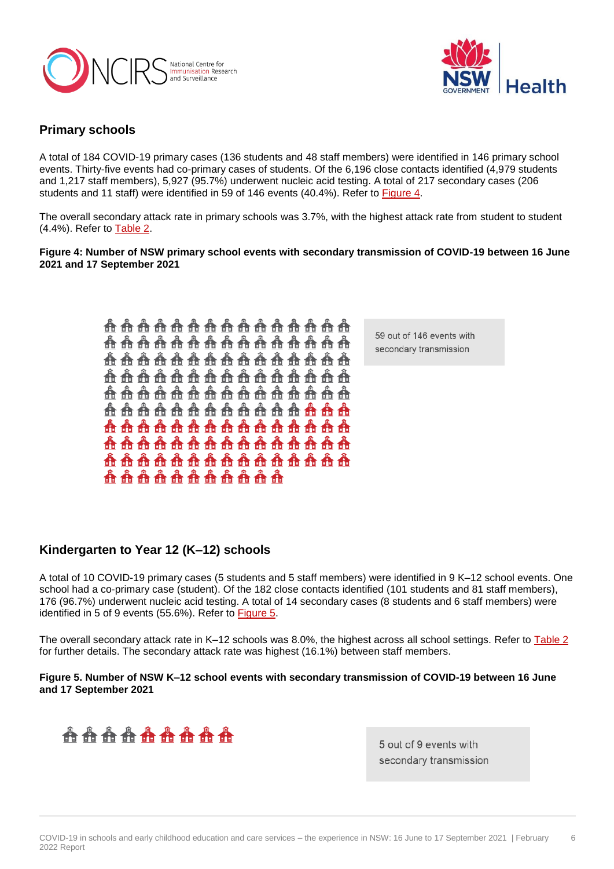<span id="page-5-1"></span>



## **Primary schools**

A total of 184 COVID-19 primary cases (136 students and 48 staff members) were identified in 146 primary school events. Thirty-five events had co-primary cases of students. Of the 6,196 close contacts identified (4,979 students and 1,217 staff members), 5,927 (95.7%) underwent nucleic acid testing. A total of 217 secondary cases (206 students and 11 staff) were identified in 59 of 146 events (40.4%). Refer to [Figure 4.](#page-5-0)

The overall secondary attack rate in primary schools was 3.7%, with the highest attack rate from student to student (4.4%). Refer to [Table 2.](#page-8-0)

<span id="page-5-0"></span>**Figure 4: Number of NSW primary school events with secondary transmission of COVID-19 between 16 June 2021 and 17 September 2021** 

> **................... AAAAAAAAAAAAAAA ...................** <u> A A A A A A A A A A A A A A</u> . . . . . . . . . . . . . . . . . . <u> A A A A A A A A A A A A A A</u> <u> A A A A A A A A A A A A A A</u> <u> A A A A A A A A A A A A A A</u> **..................** . . . . . . . . . . . . .

59 out of 146 events with secondary transmission

## **Kindergarten to Year 12 (K–12) schools**

A total of 10 COVID-19 primary cases (5 students and 5 staff members) were identified in 9 K–12 school events. One school had a co-primary case (student). Of the 182 close contacts identified (101 students and 81 staff members), 176 (96.7%) underwent nucleic acid testing. A total of 14 secondary cases (8 students and 6 staff members) were identified in 5 of 9 events (55.6%). Refer to [Figure 5.](#page-5-1)

The overall secondary attack rate in K–12 schools was 8.0%, the highest across all school settings. Refer to [Table 2](#page-8-0) for further details. The secondary attack rate was highest (16.1%) between staff members.

#### **Figure 5. Number of NSW K–12 school events with secondary transmission of COVID-19 between 16 June and 17 September 2021**



5 out of 9 events with secondary transmission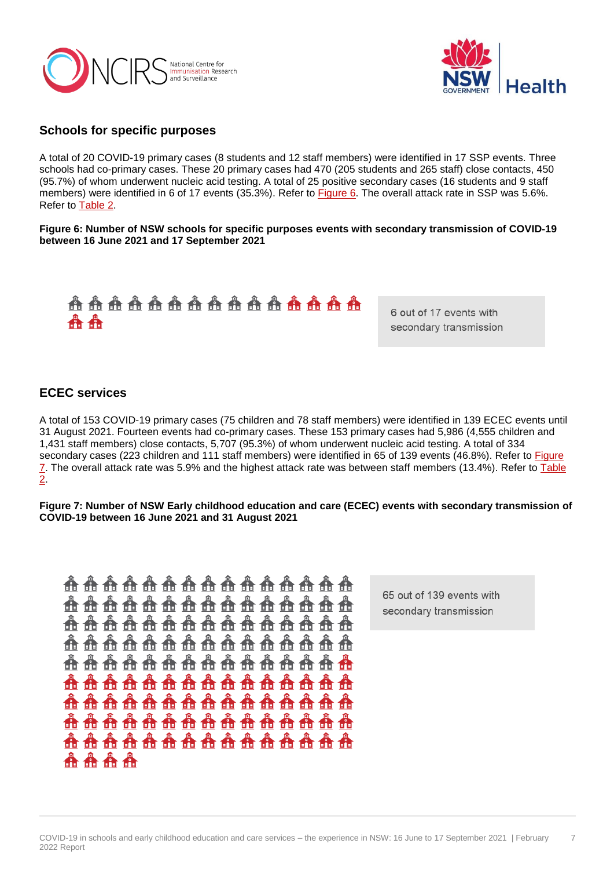



#### **Schools for specific purposes**

A total of 20 COVID-19 primary cases (8 students and 12 staff members) were identified in 17 SSP events. Three schools had co-primary cases. These 20 primary cases had 470 (205 students and 265 staff) close contacts, 450 (95.7%) of whom underwent nucleic acid testing. A total of 25 positive secondary cases (16 students and 9 staff members) were identified in 6 of 17 events (35.3%). Refer to [Figure 6.](#page-6-0) The overall attack rate in SSP was 5.6%. Refer to [Table 2.](#page-8-0)

<span id="page-6-0"></span>**Figure 6: Number of NSW schools for specific purposes events with secondary transmission of COVID-19 between 16 June 2021 and 17 September 2021**



6 out of 17 events with secondary transmission

#### **ECEC services**

A total of 153 COVID-19 primary cases (75 children and 78 staff members) were identified in 139 ECEC events until 31 August 2021. Fourteen events had co-primary cases. These 153 primary cases had 5,986 (4,555 children and 1,431 staff members) close contacts, 5,707 (95.3%) of whom underwent nucleic acid testing. A total of 334 secondary cases (223 children and 111 staff members) were identified in 65 of 139 events (46.8%). Refer to **Figure** [7.](#page-6-1) The overall attack rate was 5.9% and the highest attack rate was between staff members (13.4%). Refer to Table [2.](#page-8-0)

<span id="page-6-1"></span>**Figure 7: Number of NSW Early childhood education and care (ECEC) events with secondary transmission of COVID-19 between 16 June 2021 and 31 August 2021**

65 out of 139 events with secondary transmission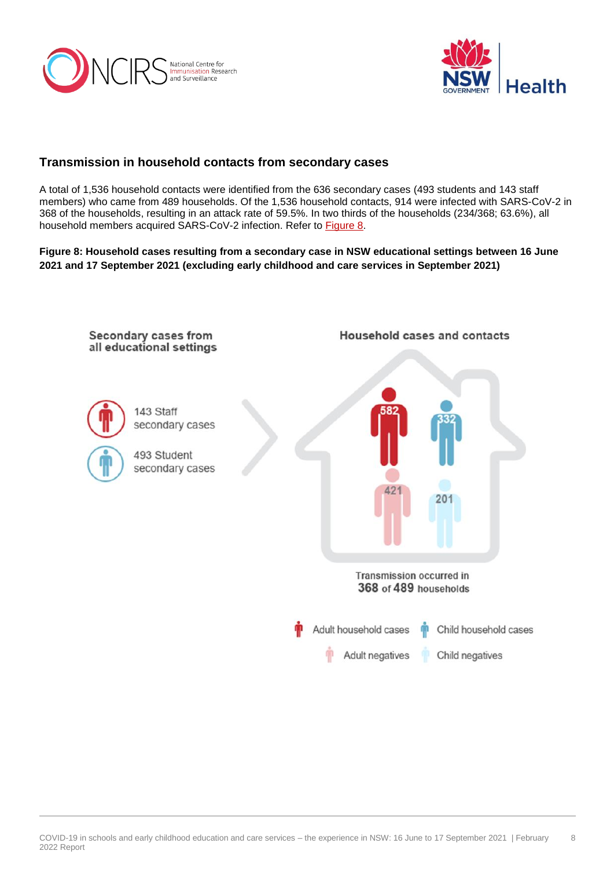



## **Transmission in household contacts from secondary cases**

A total of 1,536 household contacts were identified from the 636 secondary cases (493 students and 143 staff members) who came from 489 households. Of the 1,536 household contacts, 914 were infected with SARS-CoV-2 in 368 of the households, resulting in an attack rate of 59.5%. In two thirds of the households (234/368; 63.6%), all household members acquired SARS-CoV-2 infection. Refer to [Figure 8.](#page-7-0)

<span id="page-7-0"></span>**Figure 8: Household cases resulting from a secondary case in NSW educational settings between 16 June 2021 and 17 September 2021 (excluding early childhood and care services in September 2021)**

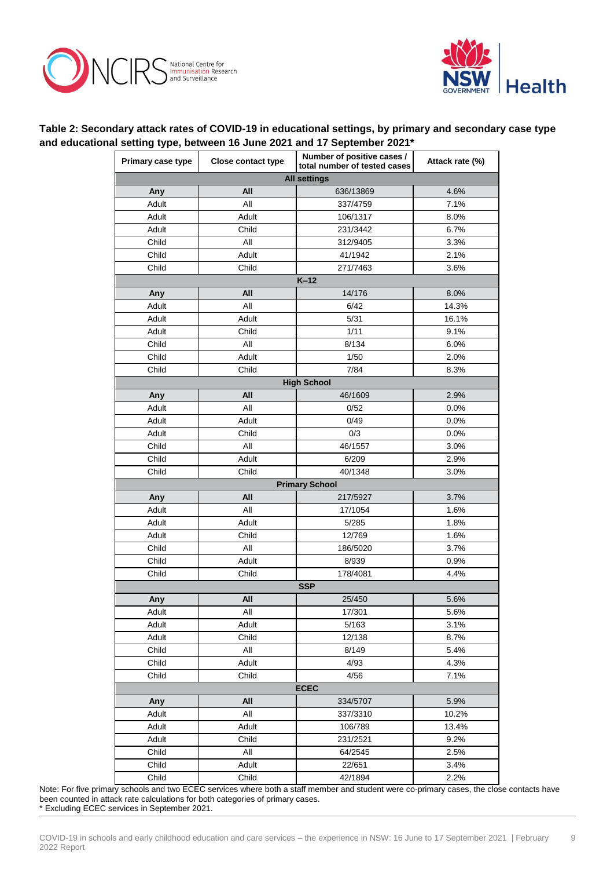



#### <span id="page-8-0"></span>**Table 2: Secondary attack rates of COVID-19 in educational settings, by primary and secondary case type and educational setting type, between 16 June 2021 and 17 September 2021\***

| Primary case type   | <b>Close contact type</b> | Number of positive cases /<br>total number of tested cases |       |  |
|---------------------|---------------------------|------------------------------------------------------------|-------|--|
| <b>All settings</b> |                           |                                                            |       |  |
| Any                 | All                       | 636/13869                                                  | 4.6%  |  |
| Adult               | All<br>337/4759           |                                                            | 7.1%  |  |
| Adult               | Adult                     | 106/1317                                                   | 8.0%  |  |
| Adult               | Child                     | 231/3442                                                   | 6.7%  |  |
| Child               | All                       | 312/9405                                                   | 3.3%  |  |
| Child               | Adult                     | 41/1942                                                    | 2.1%  |  |
| Child               | Child                     | 271/7463                                                   | 3.6%  |  |
| $K-12$              |                           |                                                            |       |  |
| Any                 | All                       | 14/176                                                     | 8.0%  |  |
| Adult               | All                       | 6/42                                                       | 14.3% |  |
| Adult               | Adult                     | 5/31                                                       | 16.1% |  |
| Adult               | Child                     | 1/11                                                       | 9.1%  |  |
| Child               | All<br>8/134              |                                                            | 6.0%  |  |
| Child               | Adult<br>1/50             |                                                            | 2.0%  |  |
| Child               | Child                     | 7/84                                                       | 8.3%  |  |
|                     |                           | <b>High School</b>                                         |       |  |
| Any                 | All                       | 46/1609                                                    | 2.9%  |  |
| Adult               | All                       | 0/52                                                       | 0.0%  |  |
| Adult               | Adult                     | 0/49                                                       | 0.0%  |  |
| Adult               | Child                     | 0/3                                                        | 0.0%  |  |
| Child               | All                       | 46/1557                                                    | 3.0%  |  |
| Child               | Adult                     | 6/209                                                      | 2.9%  |  |
| Child               | Child                     | 40/1348                                                    | 3.0%  |  |
|                     |                           | <b>Primary School</b>                                      |       |  |
| Any                 | All                       | 217/5927                                                   | 3.7%  |  |
| Adult               | All                       | 17/1054                                                    | 1.6%  |  |
| Adult               | Adult                     | 5/285                                                      | 1.8%  |  |
| Adult               | Child                     | 12/769                                                     | 1.6%  |  |
| Child               | All                       | 186/5020                                                   | 3.7%  |  |
| Child               | Adult<br>8/939            |                                                            | 0.9%  |  |
| Child               | Child                     | 178/4081                                                   | 4.4%  |  |
| <b>SSP</b>          |                           |                                                            |       |  |
| Any                 | All                       | 25/450                                                     | 5.6%  |  |
| Adult               | All                       | 17/301                                                     | 5.6%  |  |
| Adult               | Adult                     | 5/163                                                      | 3.1%  |  |
| Adult               | Child                     | 12/138                                                     | 8.7%  |  |
| Child               | All                       | 8/149                                                      | 5.4%  |  |
| Child               | Adult                     | 4/93                                                       | 4.3%  |  |
| Child               | Child                     | 4/56                                                       | 7.1%  |  |
| <b>ECEC</b>         |                           |                                                            |       |  |
| Any                 | All                       | 334/5707                                                   | 5.9%  |  |
| Adult               | All                       | 337/3310                                                   | 10.2% |  |
| Adult               | Adult                     | 106/789                                                    | 13.4% |  |
| Adult               | Child                     | 231/2521                                                   | 9.2%  |  |
| Child               | All<br>64/2545            |                                                            | 2.5%  |  |
| Child               | Adult<br>22/651           |                                                            | 3.4%  |  |
| Child               | Child                     | 42/1894                                                    | 2.2%  |  |

Note: For five primary schools and two ECEC services where both a staff member and student were co-primary cases, the close contacts have been counted in attack rate calculations for both categories of primary cases. \* Excluding ECEC services in September 2021.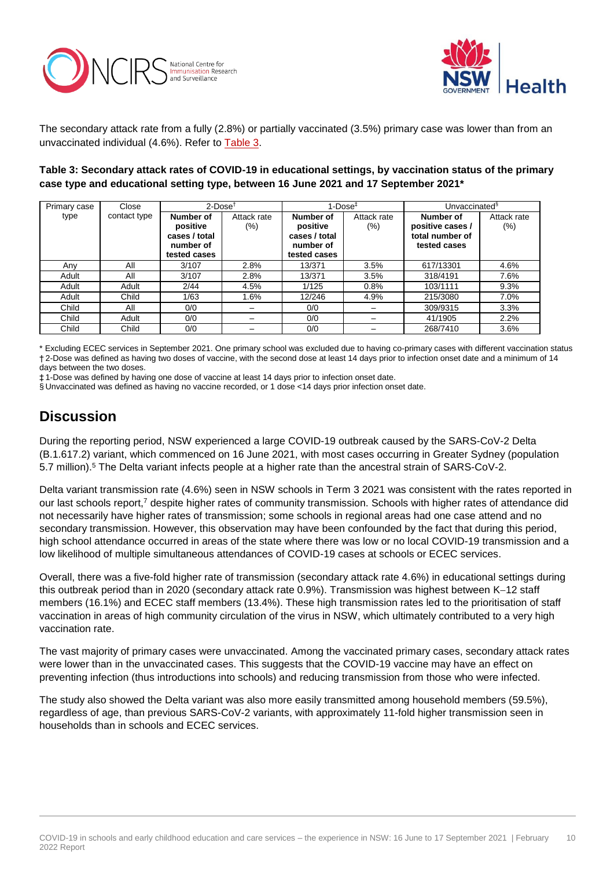



The secondary attack rate from a fully (2.8%) or partially vaccinated (3.5%) primary case was lower than from an unvaccinated individual (4.6%). Refer to [Table 3.](#page-9-0)

#### <span id="page-9-0"></span>**Table 3: Secondary attack rates of COVID-19 in educational settings, by vaccination status of the primary case type and educational setting type, between 16 June 2021 and 17 September 2021\***

| Primary case | Close        | $2$ -Dose <sup><math>\dagger</math></sup>                           |                        | $1$ -Dose $†$                                                       |                    | Unvaccinated <sup>§</sup>                                        |                    |
|--------------|--------------|---------------------------------------------------------------------|------------------------|---------------------------------------------------------------------|--------------------|------------------------------------------------------------------|--------------------|
| type         | contact type | Number of<br>positive<br>cases / total<br>number of<br>tested cases | Attack rate<br>$(\% )$ | Number of<br>positive<br>cases / total<br>number of<br>tested cases | Attack rate<br>(%) | Number of<br>positive cases /<br>total number of<br>tested cases | Attack rate<br>(%) |
| Any          | All          | 3/107                                                               | 2.8%                   | 13/371                                                              | 3.5%               | 617/13301                                                        | 4.6%               |
| Adult        | All          | 3/107                                                               | 2.8%                   | 13/371                                                              | 3.5%               | 318/4191                                                         | 7.6%               |
| Adult        | Adult        | 2/44                                                                | 4.5%                   | 1/125                                                               | 0.8%               | 103/1111                                                         | 9.3%               |
| Adult        | Child        | 1/63                                                                | 1.6%                   | 12/246                                                              | 4.9%               | 215/3080                                                         | 7.0%               |
| Child        | All          | 0/0                                                                 |                        | 0/0                                                                 |                    | 309/9315                                                         | 3.3%               |
| Child        | Adult        | 0/0                                                                 |                        | 0/0                                                                 |                    | 41/1905                                                          | 2.2%               |
| Child        | Child        | 0/0                                                                 |                        | 0/0                                                                 |                    | 268/7410                                                         | 3.6%               |

\* Excluding ECEC services in September 2021. One primary school was excluded due to having co-primary cases with different vaccination status † 2-Dose was defined as having two doses of vaccine, with the second dose at least 14 days prior to infection onset date and a minimum of 14 days between the two doses.

‡ 1-Dose was defined by having one dose of vaccine at least 14 days prior to infection onset date.

§ Unvaccinated was defined as having no vaccine recorded, or 1 dose <14 days prior infection onset date.

# **Discussion**

During the reporting period, NSW experienced a large COVID-19 outbreak caused by the SARS-CoV-2 Delta (B.1.617.2) variant, which commenced on 16 June 2021, with most cases occurring in Greater Sydney (population 5.7 million).<sup>5</sup> The Delta variant infects people at a higher rate than the ancestral strain of SARS-CoV-2.

Delta variant transmission rate (4.6%) seen in NSW schools in Term 3 2021 was consistent with the rates reported in our last schools report,<sup>7</sup> despite higher rates of community transmission. Schools with higher rates of attendance did not necessarily have higher rates of transmission; some schools in regional areas had one case attend and no secondary transmission. However, this observation may have been confounded by the fact that during this period, high school attendance occurred in areas of the state where there was low or no local COVID-19 transmission and a low likelihood of multiple simultaneous attendances of COVID-19 cases at schools or ECEC services.

Overall, there was a five-fold higher rate of transmission (secondary attack rate 4.6%) in educational settings during this outbreak period than in 2020 (secondary attack rate 0.9%). Transmission was highest between K-12 staff members (16.1%) and ECEC staff members (13.4%). These high transmission rates led to the prioritisation of staff vaccination in areas of high community circulation of the virus in NSW, which ultimately contributed to a very high vaccination rate.

The vast majority of primary cases were unvaccinated. Among the vaccinated primary cases, secondary attack rates were lower than in the unvaccinated cases. This suggests that the COVID-19 vaccine may have an effect on preventing infection (thus introductions into schools) and reducing transmission from those who were infected.

The study also showed the Delta variant was also more easily transmitted among household members (59.5%), regardless of age, than previous SARS-CoV-2 variants, with approximately 11-fold higher transmission seen in households than in schools and ECEC services.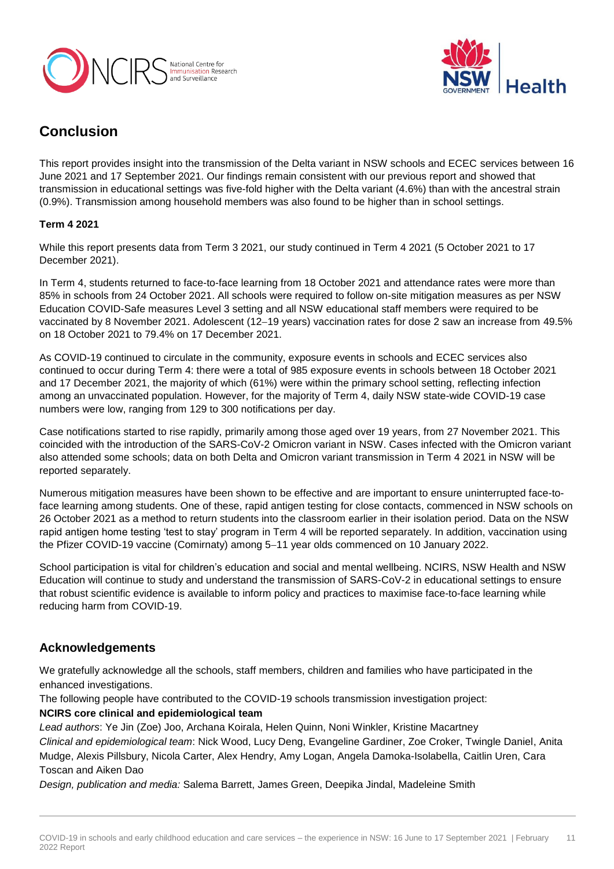



# **Conclusion**

This report provides insight into the transmission of the Delta variant in NSW schools and ECEC services between 16 June 2021 and 17 September 2021. Our findings remain consistent with our previous report and showed that transmission in educational settings was five-fold higher with the Delta variant (4.6%) than with the ancestral strain (0.9%). Transmission among household members was also found to be higher than in school settings.

#### **Term 4 2021**

While this report presents data from Term 3 2021, our study continued in Term 4 2021 (5 October 2021 to 17 December 2021).

In Term 4, students returned to face-to-face learning from 18 October 2021 and attendance rates were more than 85% in schools from 24 October 2021. All schools were required to follow on-site mitigation measures as per NSW Education COVID-Safe measures Level 3 setting and all NSW educational staff members were required to be vaccinated by 8 November 2021. Adolescent (12-19 years) vaccination rates for dose 2 saw an increase from 49.5% on 18 October 2021 to 79.4% on 17 December 2021.

As COVID-19 continued to circulate in the community, exposure events in schools and ECEC services also continued to occur during Term 4: there were a total of 985 exposure events in schools between 18 October 2021 and 17 December 2021, the majority of which (61%) were within the primary school setting, reflecting infection among an unvaccinated population. However, for the majority of Term 4, daily NSW state-wide COVID-19 case numbers were low, ranging from 129 to 300 notifications per day.

Case notifications started to rise rapidly, primarily among those aged over 19 years, from 27 November 2021. This coincided with the introduction of the SARS-CoV-2 Omicron variant in NSW. Cases infected with the Omicron variant also attended some schools; data on both Delta and Omicron variant transmission in Term 4 2021 in NSW will be reported separately.

Numerous mitigation measures have been shown to be effective and are important to ensure uninterrupted face-toface learning among students. One of these, rapid antigen testing for close contacts, commenced in NSW schools on 26 October 2021 as a method to return students into the classroom earlier in their isolation period. Data on the NSW rapid antigen home testing 'test to stay' program in Term 4 will be reported separately. In addition, vaccination using the Pfizer COVID-19 vaccine (Comirnaty) among 5-11 year olds commenced on 10 January 2022.

School participation is vital for children's education and social and mental wellbeing. NCIRS, NSW Health and NSW Education will continue to study and understand the transmission of SARS-CoV-2 in educational settings to ensure that robust scientific evidence is available to inform policy and practices to maximise face-to-face learning while reducing harm from COVID-19.

## **Acknowledgements**

We gratefully acknowledge all the schools, staff members, children and families who have participated in the enhanced investigations.

The following people have contributed to the COVID-19 schools transmission investigation project:

#### **NCIRS core clinical and epidemiological team**

*Lead authors*: Ye Jin (Zoe) Joo, Archana Koirala, Helen Quinn, Noni Winkler, Kristine Macartney *Clinical and epidemiological team*: Nick Wood, Lucy Deng, Evangeline Gardiner, Zoe Croker, Twingle Daniel, Anita Mudge, Alexis Pillsbury, Nicola Carter, Alex Hendry, Amy Logan, Angela Damoka-Isolabella, Caitlin Uren, Cara Toscan and Aiken Dao

*Design, publication and media:* Salema Barrett, James Green, Deepika Jindal, Madeleine Smith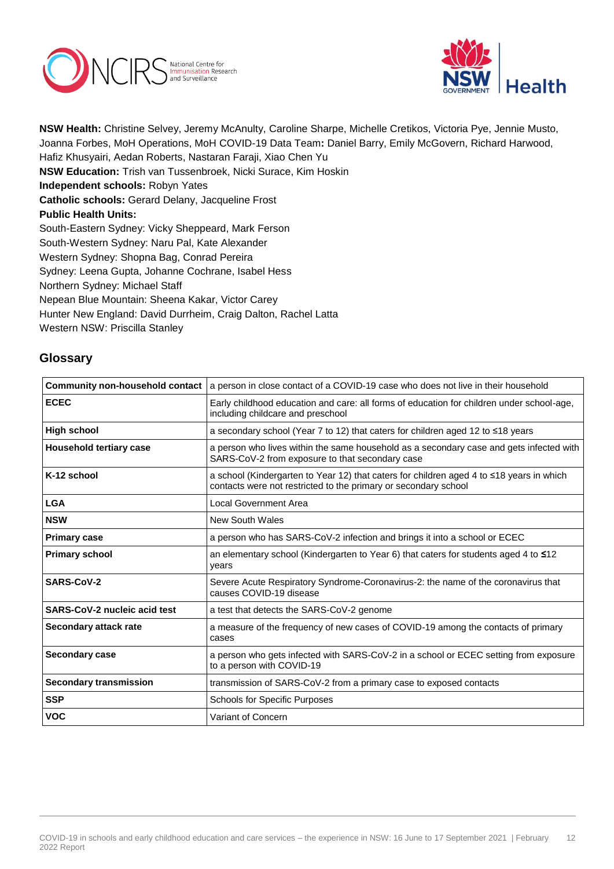



**NSW Health:** Christine Selvey, Jeremy McAnulty, Caroline Sharpe, Michelle Cretikos, Victoria Pye, Jennie Musto, Joanna Forbes, MoH Operations, MoH COVID-19 Data Team**:** Daniel Barry, Emily McGovern, Richard Harwood, Hafiz Khusyairi, Aedan Roberts, Nastaran Faraji, Xiao Chen Yu **NSW Education:** Trish van Tussenbroek, Nicki Surace, Kim Hoskin **Independent schools:** Robyn Yates **Catholic schools:** Gerard Delany, Jacqueline Frost **Public Health Units:** South-Eastern Sydney: Vicky Sheppeard, Mark Ferson South-Western Sydney: Naru Pal, Kate Alexander Western Sydney: Shopna Bag, Conrad Pereira Sydney: Leena Gupta, Johanne Cochrane, Isabel Hess Northern Sydney: Michael Staff Nepean Blue Mountain: Sheena Kakar, Victor Carey Hunter New England: David Durrheim, Craig Dalton, Rachel Latta Western NSW: Priscilla Stanley

## **Glossary**

| <b>Community non-household contact</b> | a person in close contact of a COVID-19 case who does not live in their household                                                                           |
|----------------------------------------|-------------------------------------------------------------------------------------------------------------------------------------------------------------|
| <b>ECEC</b>                            | Early childhood education and care: all forms of education for children under school-age,<br>including childcare and preschool                              |
| <b>High school</b>                     | a secondary school (Year 7 to 12) that caters for children aged 12 to ≤18 years                                                                             |
| <b>Household tertiary case</b>         | a person who lives within the same household as a secondary case and gets infected with<br>SARS-CoV-2 from exposure to that secondary case                  |
| K-12 school                            | a school (Kindergarten to Year 12) that caters for children aged 4 to ≤18 years in which<br>contacts were not restricted to the primary or secondary school |
| <b>LGA</b>                             | Local Government Area                                                                                                                                       |
| <b>NSW</b>                             | <b>New South Wales</b>                                                                                                                                      |
| <b>Primary case</b>                    | a person who has SARS-CoV-2 infection and brings it into a school or ECEC                                                                                   |
| <b>Primary school</b>                  | an elementary school (Kindergarten to Year 6) that caters for students aged 4 to ≤12<br>years                                                               |
| SARS-CoV-2                             | Severe Acute Respiratory Syndrome-Coronavirus-2: the name of the coronavirus that<br>causes COVID-19 disease                                                |
| <b>SARS-CoV-2 nucleic acid test</b>    | a test that detects the SARS-CoV-2 genome                                                                                                                   |
| Secondary attack rate                  | a measure of the frequency of new cases of COVID-19 among the contacts of primary<br>cases                                                                  |
| <b>Secondary case</b>                  | a person who gets infected with SARS-CoV-2 in a school or ECEC setting from exposure<br>to a person with COVID-19                                           |
| <b>Secondary transmission</b>          | transmission of SARS-CoV-2 from a primary case to exposed contacts                                                                                          |
| <b>SSP</b>                             | <b>Schools for Specific Purposes</b>                                                                                                                        |
| <b>VOC</b>                             | Variant of Concern                                                                                                                                          |